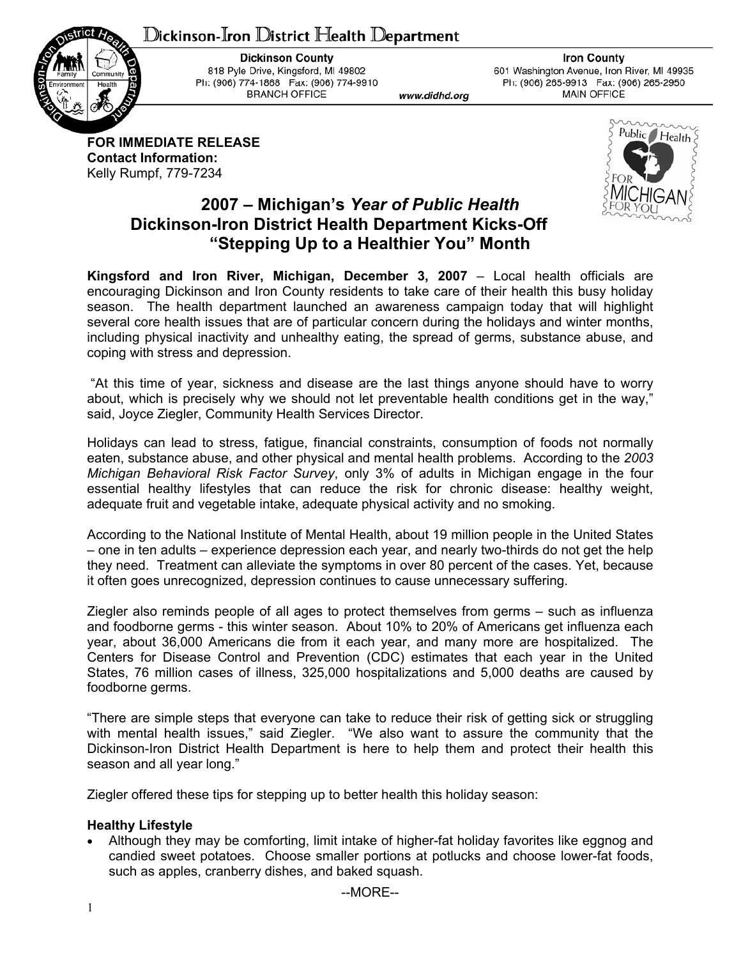# ${\mathbb D}$ ickinson-Iron  ${\mathbb D}$ istrict Health  ${\mathbb D}$ epartment



**Dickinson County** 818 Pyle Drive, Kingsford, MI 49802 Ph: (906) 774-1868 Fax: (906) 774-9910 **BRANCH OFFICE** 

www.didhd.org

**Iron County** 601 Washington Avenue, Iron River, MI 49935 Ph: (906) 265-9913 Fax: (906) 265-2950 **MAIN OFFICE** 

**FOR IMMEDIATE RELEASE Contact Information:**  Kelly Rumpf, 779-7234



## **2007 – Michigan's** *Year of Public Health* **Dickinson-Iron District Health Department Kicks-Off "Stepping Up to a Healthier You" Month**

**Kingsford and Iron River, Michigan, December 3, 2007** – Local health officials are encouraging Dickinson and Iron County residents to take care of their health this busy holiday season. The health department launched an awareness campaign today that will highlight several core health issues that are of particular concern during the holidays and winter months, including physical inactivity and unhealthy eating, the spread of germs, substance abuse, and coping with stress and depression.

 "At this time of year, sickness and disease are the last things anyone should have to worry about, which is precisely why we should not let preventable health conditions get in the way," said, Joyce Ziegler, Community Health Services Director.

Holidays can lead to stress, fatigue, financial constraints, consumption of foods not normally eaten, substance abuse, and other physical and mental health problems. According to the *2003 Michigan Behavioral Risk Factor Survey*, only 3% of adults in Michigan engage in the four essential healthy lifestyles that can reduce the risk for chronic disease: healthy weight, adequate fruit and vegetable intake, adequate physical activity and no smoking.

According to the National Institute of Mental Health, about 19 million people in the United States – one in ten adults – experience depression each year, and nearly two-thirds do not get the help they need. Treatment can alleviate the symptoms in over 80 percent of the cases. Yet, because it often goes unrecognized, depression continues to cause unnecessary suffering.

Ziegler also reminds people of all ages to protect themselves from germs – such as influenza and foodborne germs - this winter season. About 10% to 20% of Americans get influenza each year, about 36,000 Americans die from it each year, and many more are hospitalized. The Centers for Disease Control and Prevention (CDC) estimates that each year in the United States, 76 million cases of illness, 325,000 hospitalizations and 5,000 deaths are caused by foodborne germs.

"There are simple steps that everyone can take to reduce their risk of getting sick or struggling with mental health issues," said Ziegler. "We also want to assure the community that the Dickinson-Iron District Health Department is here to help them and protect their health this season and all year long."

Ziegler offered these tips for stepping up to better health this holiday season:

### **Healthy Lifestyle**

• Although they may be comforting, limit intake of higher-fat holiday favorites like eggnog and candied sweet potatoes. Choose smaller portions at potlucks and choose lower-fat foods, such as apples, cranberry dishes, and baked squash.